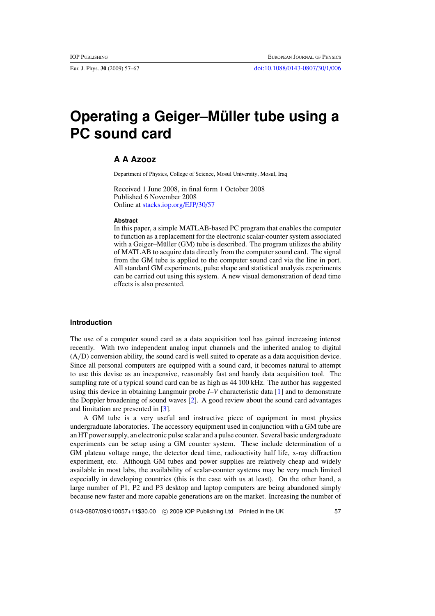# **Operating a Geiger–Müller tube using a PC sound card**

# **A A Azooz**

Department of Physics, College of Science, Mosul University, Mosul, Iraq

Received 1 June 2008, in final form 1 October 2008 Published 6 November 2008 Online at [stacks.iop.org/EJP/30/57](http://stacks.iop.org/EJP/30/57)

#### **Abstract**

In this paper, a simple MATLAB-based PC program that enables the computer to function as a replacement for the electronic scalar-counter system associated with a Geiger–Müller  $(GM)$  tube is described. The program utilizes the ability of MATLAB to acquire data directly from the computer sound card. The signal from the GM tube is applied to the computer sound card via the line in port. All standard GM experiments, pulse shape and statistical analysis experiments can be carried out using this system. A new visual demonstration of dead time effects is also presented.

#### **Introduction**

The use of a computer sound card as a data acquisition tool has gained increasing interest recently. With two independent analog input channels and the inherited analog to digital (A*/*D) conversion ability, the sound card is well suited to operate as a data acquisition device. Since all personal computers are equipped with a sound card, it becomes natural to attempt to use this devise as an inexpensive, reasonably fast and handy data acquisition tool. The sampling rate of a typical sound card can be as high as 44 100 kHz. The author has suggested using this device in obtaining Langmuir probe *I*–*V* characteristic data [\[1](#page-10-0)] and to demonstrate the Doppler broadening of sound waves [\[2\]](#page-10-0). A good review about the sound card advantages and limitation are presented in [\[3\]](#page-10-0).

A GM tube is a very useful and instructive piece of equipment in most physics undergraduate laboratories. The accessory equipment used in conjunction with a GM tube are an HT power supply, an electronic pulse scalar and a pulse counter. Several basic undergraduate experiments can be setup using a GM counter system. These include determination of a GM plateau voltage range, the detector dead time, radioactivity half life, x-ray diffraction experiment, etc. Although GM tubes and power supplies are relatively cheap and widely available in most labs, the availability of scalar-counter systems may be very much limited especially in developing countries (this is the case with us at least). On the other hand, a large number of P1, P2 and P3 desktop and laptop computers are being abandoned simply because new faster and more capable generations are on the market. Increasing the number of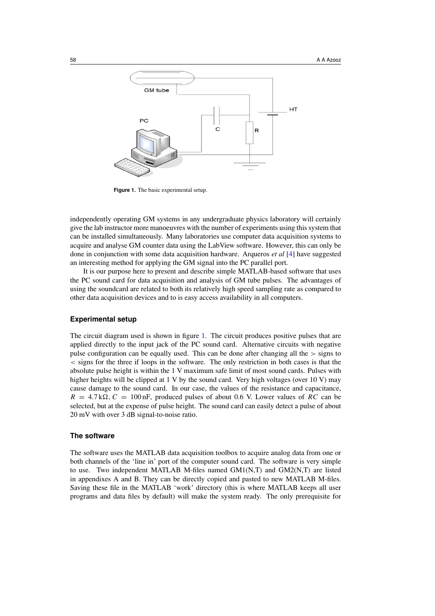<span id="page-1-0"></span>

**Figure 1.** The basic experimental setup.

independently operating GM systems in any undergraduate physics laboratory will certainly give the lab instructor more manoeuvres with the number of experiments using this system that can be installed simultaneously. Many laboratories use computer data acquisition systems to acquire and analyse GM counter data using the LabView software. However, this can only be done in conjunction with some data acquisition hardware. Arqueros *et al* [\[4](#page-10-0)] have suggested an interesting method for applying the GM signal into the PC parallel port.

It is our purpose here to present and describe simple MATLAB-based software that uses the PC sound card for data acquisition and analysis of GM tube pulses. The advantages of using the soundcard are related to both its relatively high speed sampling rate as compared to other data acquisition devices and to is easy access availability in all computers.

## **Experimental setup**

The circuit diagram used is shown in figure 1. The circuit produces positive pulses that are applied directly to the input jack of the PC sound card. Alternative circuits with negative pulse configuration can be equally used. This can be done after changing all the *>* signs to *<* signs for the three if loops in the software. The only restriction in both cases is that the absolute pulse height is within the 1 V maximum safe limit of most sound cards. Pulses with higher heights will be clipped at 1 V by the sound card. Very high voltages (over 10 V) may cause damage to the sound card. In our case, the values of the resistance and capacitance,  $R = 4.7 \text{k}\Omega$ ,  $C = 100 \text{ nF}$ , produced pulses of about 0.6 V. Lower values of *RC* can be selected, but at the expense of pulse height. The sound card can easily detect a pulse of about 20 mV with over 3 dB signal-to-noise ratio.

#### **The software**

The software uses the MATLAB data acquisition toolbox to acquire analog data from one or both channels of the 'line in' port of the computer sound card. The software is very simple to use. Two independent MATLAB M-files named GM1(N,T) and GM2(N,T) are listed in appendixes A and B. They can be directly copied and pasted to new MATLAB M-files. Saving these file in the MATLAB 'work' directory (this is where MATLAB keeps all user programs and data files by default) will make the system ready. The only prerequisite for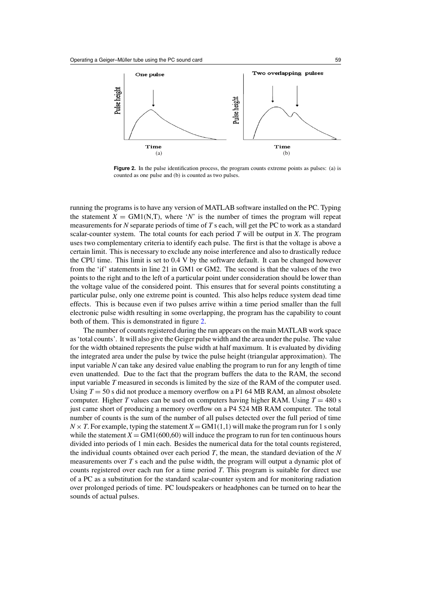

**Figure 2.** In the pulse identification process, the program counts extreme points as pulses: (a) is counted as one pulse and (b) is counted as two pulses.

running the programs is to have any version of MATLAB software installed on the PC. Typing the statement  $X = GM1(N,T)$ , where '*N*' is the number of times the program will repeat measurements for *N* separate periods of time of *T* s each, will get the PC to work as a standard scalar-counter system. The total counts for each period *T* will be output in *X*. The program uses two complementary criteria to identify each pulse. The first is that the voltage is above a certain limit. This is necessary to exclude any noise interference and also to drastically reduce the CPU time. This limit is set to 0.4 V by the software default. It can be changed however from the 'if' statements in line 21 in GM1 or GM2. The second is that the values of the two points to the right and to the left of a particular point under consideration should be lower than the voltage value of the considered point. This ensures that for several points constituting a particular pulse, only one extreme point is counted. This also helps reduce system dead time effects. This is because even if two pulses arrive within a time period smaller than the full electronic pulse width resulting in some overlapping, the program has the capability to count both of them. This is demonstrated in figure 2.

The number of counts registered during the run appears on the main MATLAB work space as 'total counts'. It will also give the Geiger pulse width and the area under the pulse. The value for the width obtained represents the pulse width at half maximum. It is evaluated by dividing the integrated area under the pulse by twice the pulse height (triangular approximation). The input variable *N* can take any desired value enabling the program to run for any length of time even unattended. Due to the fact that the program buffers the data to the RAM, the second input variable *T* measured in seconds is limited by the size of the RAM of the computer used. Using *T* = 50 s did not produce a memory overflow on a P1 64 MB RAM, an almost obsolete computer. Higher *T* values can be used on computers having higher RAM. Using  $T = 480$  s just came short of producing a memory overflow on a P4 524 MB RAM computer. The total number of counts is the sum of the number of all pulses detected over the full period of time  $N \times T$ . For example, typing the statement  $X = GM1(1,1)$  will make the program run for 1 s only while the statement  $X = GM1(600,60)$  will induce the program to run for ten continuous hours divided into periods of 1 min each. Besides the numerical data for the total counts registered, the individual counts obtained over each period *T*, the mean, the standard deviation of the *N* measurements over *T* s each and the pulse width, the program will output a dynamic plot of counts registered over each run for a time period *T*. This program is suitable for direct use of a PC as a substitution for the standard scalar-counter system and for monitoring radiation over prolonged periods of time. PC loudspeakers or headphones can be turned on to hear the sounds of actual pulses.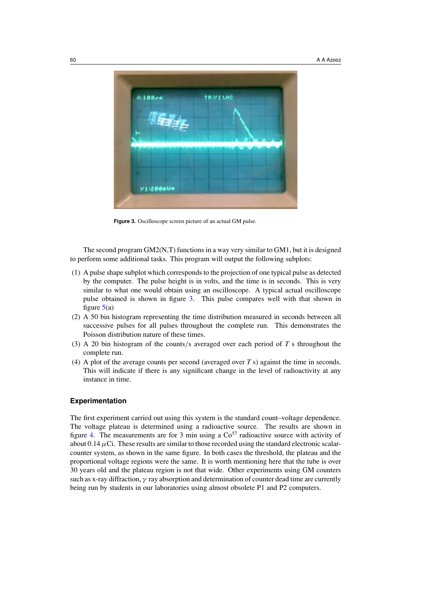

**Figure 3.** Oscilloscope screen picture of an actual GM pulse.

The second program  $GM2(N,T)$  functions in a way very similar to  $GM1$ , but it is designed to perform some additional tasks. This program will output the following subplots:

- (1) A pulse shape subplot which corresponds to the projection of one typical pulse as detected by the computer. The pulse height is in volts, and the time is in seconds. This is very similar to what one would obtain using an oscilloscope. A typical actual oscilloscope pulse obtained is shown in figure 3. This pulse compares well with that shown in figure  $5(a)$  $5(a)$
- (2) A 50 bin histogram representing the time distribution measured in seconds between all successive pulses for all pulses throughout the complete run. This demonstrates the Poisson distribution nature of these times.
- (3) A 20 bin histogram of the counts*/*s averaged over each period of *T* s throughout the complete run.
- (4) A plot of the average counts per second (averaged over *T* s) against the time in seconds. This will indicate if there is any significant change in the level of radioactivity at any instance in time.

#### **Experimentation**

The first experiment carried out using this system is the standard count–voltage dependence. The voltage plateau is determined using a radioactive source. The results are shown in figure [4.](#page-4-0) The measurements are for 3 min using a  $Co<sup>57</sup>$  radioactive source with activity of about  $0.14 \mu$ Ci. These results are similar to those recorded using the standard electronic scalarcounter system, as shown in the same figure. In both cases the threshold, the plateau and the proportional voltage regions were the same. It is worth mentioning here that the tube is over 30 years old and the plateau region is not that wide. Other experiments using GM counters such as x-ray diffraction, *γ* ray absorption and determination of counter dead time are currently being run by students in our laboratories using almost obsolete P1 and P2 computers.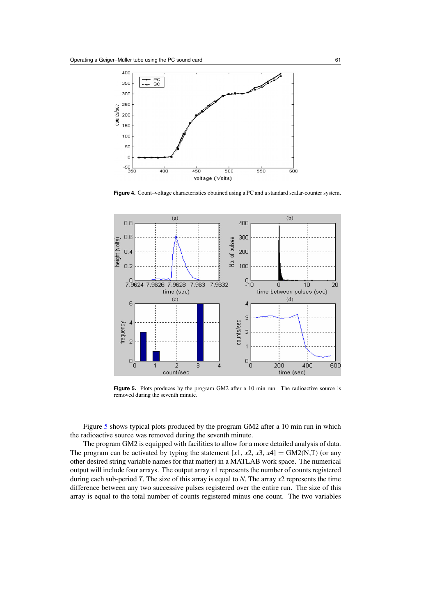<span id="page-4-0"></span>

**Figure 4.** Count–voltage characteristics obtained using a PC and a standard scalar-counter system.



Figure 5. Plots produces by the program GM2 after a 10 min run. The radioactive source is removed during the seventh minute.

Figure 5 shows typical plots produced by the program GM2 after a 10 min run in which the radioactive source was removed during the seventh minute.

The program GM2 is equipped with facilities to allow for a more detailed analysis of data. The program can be activated by typing the statement  $[x1, x2, x3, x4] = GM2(N,T)$  (or any other desired string variable names for that matter) in a MATLAB work space. The numerical output will include four arrays. The output array *x*1 represents the number of counts registered during each sub-period *T*. The size of this array is equal to *N*. The array *x*2 represents the time difference between any two successive pulses registered over the entire run. The size of this array is equal to the total number of counts registered minus one count. The two variables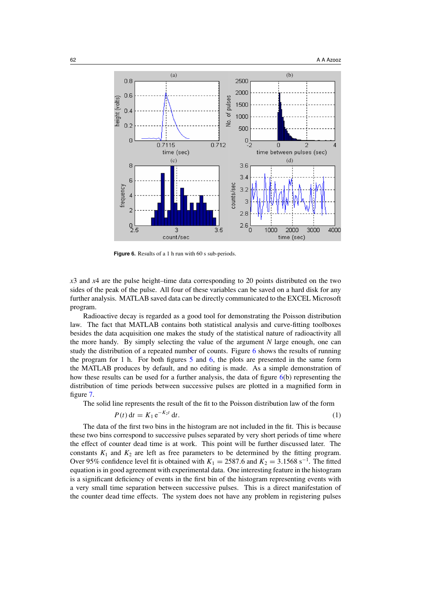

**Figure 6.** Results of a 1 h run with 60 s sub-periods.

*x*3 and *x*4 are the pulse height–time data corresponding to 20 points distributed on the two sides of the peak of the pulse. All four of these variables can be saved on a hard disk for any further analysis. MATLAB saved data can be directly communicated to the EXCEL Microsoft program.

Radioactive decay is regarded as a good tool for demonstrating the Poisson distribution law. The fact that MATLAB contains both statistical analysis and curve-fitting toolboxes besides the data acquisition one makes the study of the statistical nature of radioactivity all the more handy. By simply selecting the value of the argument *N* large enough, one can study the distribution of a repeated number of counts. Figure 6 shows the results of running the program for 1 h. For both figures [5](#page-4-0) and 6, the plots are presented in the same form the MATLAB produces by default, and no editing is made. As a simple demonstration of how these results can be used for a further analysis, the data of figure 6(b) representing the distribution of time periods between successive pulses are plotted in a magnified form in figure [7.](#page-6-0)

The solid line represents the result of the fit to the Poisson distribution law of the form

$$
P(t) dt = K_1 e^{-K_2 t} dt.
$$
 (1)

The data of the first two bins in the histogram are not included in the fit. This is because these two bins correspond to successive pulses separated by very short periods of time where the effect of counter dead time is at work. This point will be further discussed later. The constants  $K_1$  and  $K_2$  are left as free parameters to be determined by the fitting program. Over 95% confidence level fit is obtained with  $K_1 = 2587.6$  and  $K_2 = 3.1568$  s<sup>-1</sup>. The fitted equation is in good agreement with experimental data. One interesting feature in the histogram is a significant deficiency of events in the first bin of the histogram representing events with a very small time separation between successive pulses. This is a direct manifestation of the counter dead time effects. The system does not have any problem in registering pulses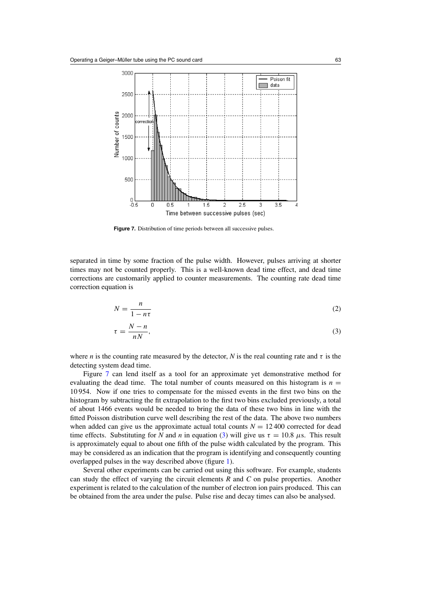<span id="page-6-0"></span>

**Figure 7.** Distribution of time periods between all successive pulses.

separated in time by some fraction of the pulse width. However, pulses arriving at shorter times may not be counted properly. This is a well-known dead time effect, and dead time corrections are customarily applied to counter measurements. The counting rate dead time correction equation is

$$
N = \frac{n}{1 - n\tau} \tag{2}
$$

$$
\tau = \frac{N - n}{nN},\tag{3}
$$

where *n* is the counting rate measured by the detector, *N* is the real counting rate and  $\tau$  is the detecting system dead time.

Figure 7 can lend itself as a tool for an approximate yet demonstrative method for evaluating the dead time. The total number of counts measured on this histogram is  $n =$ 10 954. Now if one tries to compensate for the missed events in the first two bins on the histogram by subtracting the fit extrapolation to the first two bins excluded previously, a total of about 1466 events would be needed to bring the data of these two bins in line with the fitted Poisson distribution curve well describing the rest of the data. The above two numbers when added can give us the approximate actual total counts  $N = 12,400$  corrected for dead time effects. Substituting for *N* and *n* in equation (3) will give us  $\tau = 10.8 \ \mu s$ . This result is approximately equal to about one fifth of the pulse width calculated by the program. This may be considered as an indication that the program is identifying and consequently counting overlapped pulses in the way described above (figure [1\)](#page-1-0).

Several other experiments can be carried out using this software. For example, students can study the effect of varying the circuit elements *R* and *C* on pulse properties. Another experiment is related to the calculation of the number of electron ion pairs produced. This can be obtained from the area under the pulse. Pulse rise and decay times can also be analysed.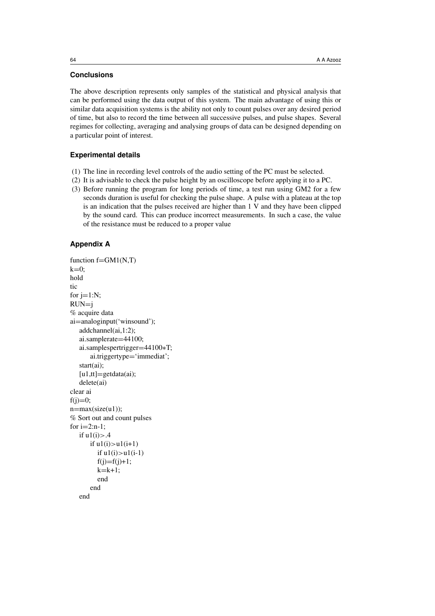## **Conclusions**

The above description represents only samples of the statistical and physical analysis that can be performed using the data output of this system. The main advantage of using this or similar data acquisition systems is the ability not only to count pulses over any desired period of time, but also to record the time between all successive pulses, and pulse shapes. Several regimes for collecting, averaging and analysing groups of data can be designed depending on a particular point of interest.

#### **Experimental details**

- (1) The line in recording level controls of the audio setting of the PC must be selected.
- (2) It is advisable to check the pulse height by an oscilloscope before applying it to a PC.
- (3) Before running the program for long periods of time, a test run using GM2 for a few seconds duration is useful for checking the pulse shape. A pulse with a plateau at the top is an indication that the pulses received are higher than 1 V and they have been clipped by the sound card. This can produce incorrect measurements. In such a case, the value of the resistance must be reduced to a proper value

## **Appendix A**

```
function f = GM1(N,T)k=0:
hold
tic
for i=1:N;
RUN=j
% acquire data
ai=analoginput('winsound');
  addchannel(ai,1:2);
  ai.samplerate=44100;
  ai.samplespertrigger=44100∗T;
      ai.triggertype='immediat';
  start(ai);
  [u1,tt]=getdata(ai);
  delete(ai)
clear ai
f(i)=0;
n=max(size(u1));% Sort out and count pulses
for i=2:n-1;
  if u1(i) > .4if u1(i)>u1(i+1)
         if u1(i)>u1(i-1)
         f(j)=f(j)+1;k=k+1:
        end
      end
  end
```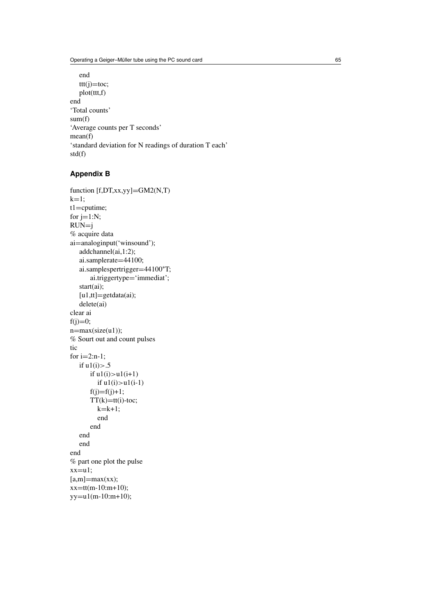```
end
   ttt(j)=\text{toc};plot(ttt,f)
end
'Total counts'
sum(f)
'Average counts per T seconds'
mean(f)
'standard deviation for N readings of duration T each'
std(f)
```
# **Appendix B**

```
function [f,DT,xx,yy]=GM2(N,T)k=1:
t1=cputime;
for j=1:N;
RUN = j% acquire data
ai=analoginput('winsound');
  addchannel(ai,1:2);
  ai.samplerate=44100;
  ai.samplespertrigger=44100∗T;
      ai.triggertype='immediat';
  start(ai);
  [u1,tt]=getdata(ai);
  delete(ai)
clear ai
f(j)=0;n=max(size(u1));% Sourt out and count pulses
tic
for i=2:n-1;
  if u1(i) > .5if u1(i)>u1(i+1)
        if u1(i)>u1(i-1)
      f(j)=f(j)+1;TT(k)=tt(i)-toc;k=k+1;
        end
      end
  end
  end
end
% part one plot the pulse
xx=u1;
[a,m]=max(xx);xx=tt(m-10:m+10);yy=u1(m-10:m+10);
```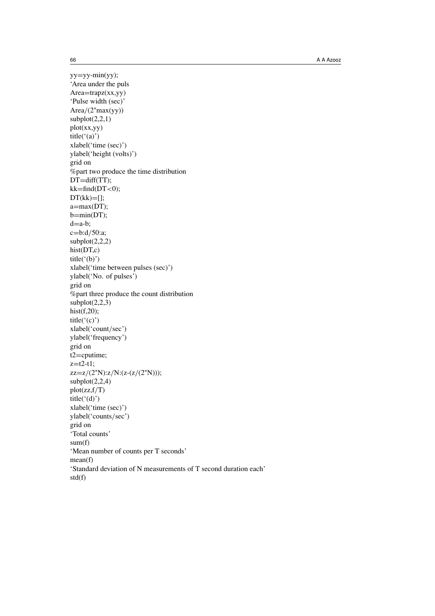yy=yy-min(yy); 'Area under the puls  $Area=trapz(xx,yy)$ 'Pulse width (sec)' Area*/*(2∗max(yy))  $subplot(2,2,1)$ plot(xx,yy) title('(a)') xlabel('time (sec)') ylabel('height (volts)') grid on %part two produce the time distribution DT=diff(TT); kk=find(DT*<*0);  $DT(kk)=[];$ a=max(DT);  $b=min(DT);$  $d=a-b;$ c=b:d*/*50:a;  $subplot(2,2,2)$ hist(DT,c) title( $'(b)$ ) xlabel('time between pulses (sec)') ylabel('No. of pulses') grid on %part three produce the count distribution  $subplot(2,2,3)$ hist(f,20); title( $'(c)$ ') xlabel('count*/*sec') ylabel('frequency') grid on t2=cputime;  $z=t2-t1;$ zz=z*/*(2∗N):z*/*N:(z-(z*/*(2∗N)));  $subplot(2,2,4)$ plot(zz,f*/*T) title( $'(d)$ ') xlabel('time (sec)') ylabel('counts*/*sec') grid on 'Total counts' sum(f) 'Mean number of counts per T seconds' mean(f) 'Standard deviation of N measurements of T second duration each' std(f)